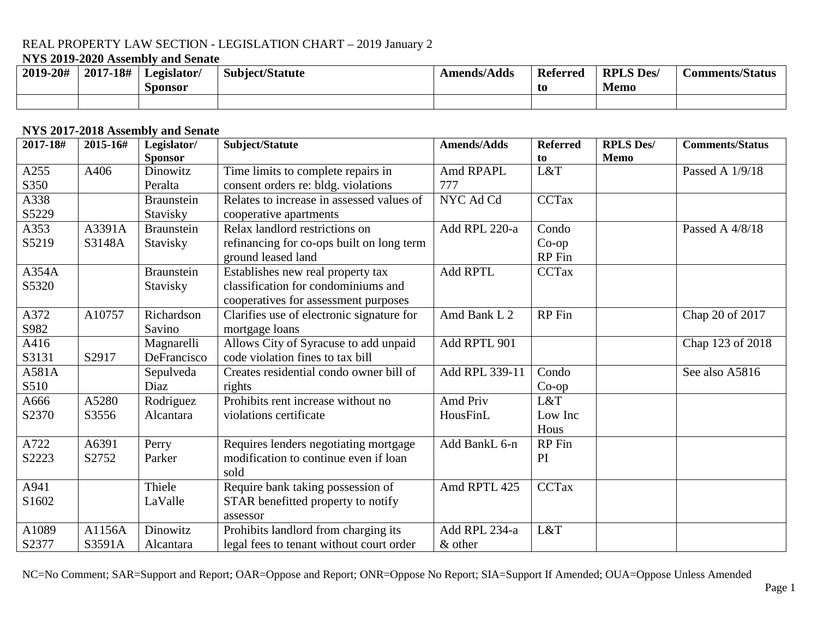## **NYS 2019-2020 Assembly and Senate**

| 2019-20# | 2017-18# | Legislator/<br>Sponsor | <b>Subject/Statute</b> | <b>Amends/Adds</b> | <b>Referred</b><br>-to | <b>RPLS Des/</b><br><b>Memo</b> | <b>Comments/Status</b> |
|----------|----------|------------------------|------------------------|--------------------|------------------------|---------------------------------|------------------------|
|          |          |                        |                        |                    |                        |                                 |                        |

#### **NYS 2017-2018 Assembly and Senate**

| 2017-18# | 2015-16# | Legislator/       | Subject/Statute                           | <b>Amends/Adds</b> | <b>Referred</b> | <b>RPLS Des/</b> | <b>Comments/Status</b> |
|----------|----------|-------------------|-------------------------------------------|--------------------|-----------------|------------------|------------------------|
|          |          | <b>Sponsor</b>    |                                           |                    | to              | <b>Memo</b>      |                        |
| A255     | A406     | Dinowitz          | Time limits to complete repairs in        | Amd RPAPL          | L&T             |                  | Passed A 1/9/18        |
| S350     |          | Peralta           | consent orders re: bldg. violations       | 777                |                 |                  |                        |
| A338     |          | Braunstein        | Relates to increase in assessed values of | NYC Ad Cd          | <b>CCTax</b>    |                  |                        |
| S5229    |          | Stavisky          | cooperative apartments                    |                    |                 |                  |                        |
| A353     | A3391A   | <b>Braunstein</b> | Relax landlord restrictions on            | Add RPL 220-a      | Condo           |                  | Passed A 4/8/18        |
| S5219    | S3148A   | Stavisky          | refinancing for co-ops built on long term |                    | $Co$ -op        |                  |                        |
|          |          |                   | ground leased land                        |                    | RP Fin          |                  |                        |
| A354A    |          | <b>Braunstein</b> | Establishes new real property tax         | <b>Add RPTL</b>    | <b>CCTax</b>    |                  |                        |
| S5320    |          | Stavisky          | classification for condominiums and       |                    |                 |                  |                        |
|          |          |                   | cooperatives for assessment purposes      |                    |                 |                  |                        |
| A372     | A10757   | Richardson        | Clarifies use of electronic signature for | Amd Bank L 2       | RP Fin          |                  | Chap 20 of 2017        |
| S982     |          | Savino            | mortgage loans                            |                    |                 |                  |                        |
| A416     |          | Magnarelli        | Allows City of Syracuse to add unpaid     | Add RPTL 901       |                 |                  | Chap 123 of 2018       |
| S3131    | S2917    | DeFrancisco       | code violation fines to tax bill          |                    |                 |                  |                        |
| A581A    |          | Sepulveda         | Creates residential condo owner bill of   | Add RPL 339-11     | Condo           |                  | See also A5816         |
| S510     |          | Diaz              | rights                                    |                    | $Co$ -op        |                  |                        |
| A666     | A5280    | Rodriguez         | Prohibits rent increase without no        | Amd Priv           | L&T             |                  |                        |
| S2370    | S3556    | Alcantara         | violations certificate                    | HousFinL           | Low Inc         |                  |                        |
|          |          |                   |                                           |                    | Hous            |                  |                        |
| A722     | A6391    | Perry             | Requires lenders negotiating mortgage     | Add BankL 6-n      | RP Fin          |                  |                        |
| S2223    | S2752    | Parker            | modification to continue even if loan     |                    | PI              |                  |                        |
|          |          |                   | sold                                      |                    |                 |                  |                        |
| A941     |          | Thiele            | Require bank taking possession of         | Amd RPTL 425       | <b>CCTax</b>    |                  |                        |
| S1602    |          | LaValle           | STAR benefitted property to notify        |                    |                 |                  |                        |
|          |          |                   | assessor                                  |                    |                 |                  |                        |
| A1089    | A1156A   | Dinowitz          | Prohibits landlord from charging its      | Add RPL 234-a      | L&T             |                  |                        |
| S2377    | S3591A   | Alcantara         | legal fees to tenant without court order  | & other            |                 |                  |                        |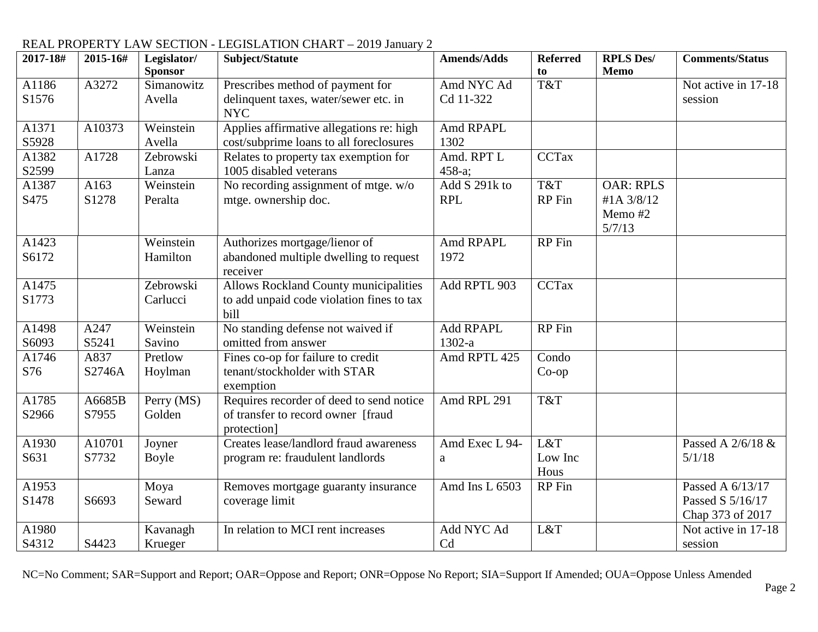| 2017-18# | 2015-16# | Legislator/<br><b>Sponsor</b> | Subject/Statute                                     | <b>Amends/Adds</b> | <b>Referred</b><br>to | <b>RPLS Des/</b><br>Memo | <b>Comments/Status</b> |
|----------|----------|-------------------------------|-----------------------------------------------------|--------------------|-----------------------|--------------------------|------------------------|
| A1186    | A3272    | Simanowitz                    | Prescribes method of payment for                    | Amd NYC Ad         | T&T                   |                          | Not active in 17-18    |
| S1576    |          | Avella                        |                                                     | Cd 11-322          |                       |                          | session                |
|          |          |                               | delinquent taxes, water/sewer etc. in<br><b>NYC</b> |                    |                       |                          |                        |
| A1371    | A10373   | Weinstein                     | Applies affirmative allegations re: high            | Amd RPAPL          |                       |                          |                        |
| S5928    |          | Avella                        | cost/subprime loans to all foreclosures             | 1302               |                       |                          |                        |
| A1382    | A1728    | Zebrowski                     | Relates to property tax exemption for               | Amd. RPT L         | <b>CCTax</b>          |                          |                        |
| S2599    |          | Lanza                         | 1005 disabled veterans                              | 458-a;             |                       |                          |                        |
| A1387    | A163     | Weinstein                     | No recording assignment of mtge. w/o                | Add S 291k to      | T&T                   | <b>OAR: RPLS</b>         |                        |
| S475     | S1278    | Peralta                       | mtge. ownership doc.                                | <b>RPL</b>         | <b>RP</b> Fin         | #1A 3/8/12               |                        |
|          |          |                               |                                                     |                    |                       | Memo #2<br>5/7/13        |                        |
| A1423    |          | Weinstein                     | Authorizes mortgage/lienor of                       | Amd RPAPL          | RP Fin                |                          |                        |
| S6172    |          | Hamilton                      | abandoned multiple dwelling to request              | 1972               |                       |                          |                        |
|          |          |                               | receiver                                            |                    |                       |                          |                        |
| A1475    |          | Zebrowski                     | Allows Rockland County municipalities               | Add RPTL 903       | <b>CCTax</b>          |                          |                        |
| S1773    |          | Carlucci                      | to add unpaid code violation fines to tax           |                    |                       |                          |                        |
|          |          |                               | bill                                                |                    |                       |                          |                        |
| A1498    | A247     | Weinstein                     | No standing defense not waived if                   | <b>Add RPAPL</b>   | <b>RP</b> Fin         |                          |                        |
| S6093    | S5241    | Savino                        | omitted from answer                                 | $1302-a$           |                       |                          |                        |
| A1746    | A837     | Pretlow                       | Fines co-op for failure to credit                   | Amd RPTL 425       | Condo                 |                          |                        |
| S76      | S2746A   | Hoylman                       | tenant/stockholder with STAR                        |                    | $Co$ -op              |                          |                        |
|          |          |                               | exemption                                           |                    |                       |                          |                        |
| A1785    | A6685B   | Perry (MS)                    | Requires recorder of deed to send notice            | Amd RPL 291        | T&T                   |                          |                        |
| S2966    | S7955    | Golden                        | of transfer to record owner [fraud                  |                    |                       |                          |                        |
|          |          |                               | protection]                                         |                    |                       |                          |                        |
| A1930    | A10701   | Joyner                        | Creates lease/landlord fraud awareness              | Amd Exec L 94-     | L&T                   |                          | Passed A 2/6/18 &      |
| S631     | S7732    | Boyle                         | program re: fraudulent landlords                    | $\rm{a}$           | Low Inc               |                          | 5/1/18                 |
|          |          |                               |                                                     |                    | Hous                  |                          |                        |
| A1953    |          | Moya                          | Removes mortgage guaranty insurance                 | Amd Ins L 6503     | RP Fin                |                          | Passed A 6/13/17       |
| S1478    | S6693    | Seward                        | coverage limit                                      |                    |                       |                          | Passed S 5/16/17       |
|          |          |                               |                                                     |                    |                       |                          | Chap 373 of 2017       |
| A1980    |          | Kavanagh                      | In relation to MCI rent increases                   | Add NYC Ad         | L&T                   |                          | Not active in 17-18    |
| S4312    | S4423    | Krueger                       |                                                     | Cd                 |                       |                          | session                |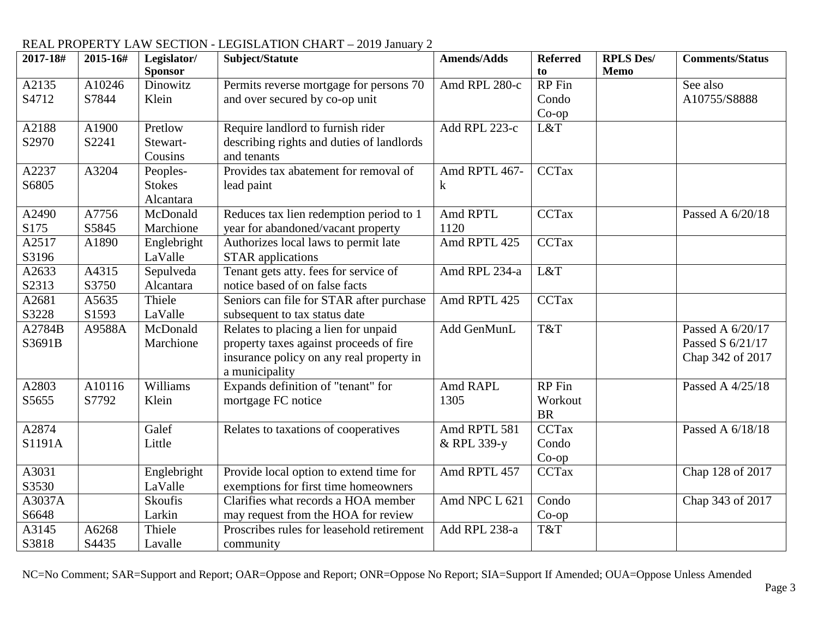| 2017-18# | 2015-16# | Legislator/<br><b>Sponsor</b> | Subject/Statute                           | <b>Amends/Adds</b> | <b>Referred</b><br>to | <b>RPLS Des/</b><br><b>Memo</b> | <b>Comments/Status</b> |
|----------|----------|-------------------------------|-------------------------------------------|--------------------|-----------------------|---------------------------------|------------------------|
| A2135    | A10246   | Dinowitz                      | Permits reverse mortgage for persons 70   | Amd RPL 280-c      | <b>RP</b> Fin         |                                 | See also               |
| S4712    | S7844    | Klein                         | and over secured by co-op unit            |                    | Condo                 |                                 | A10755/S8888           |
|          |          |                               |                                           |                    | $Co$ -op              |                                 |                        |
| A2188    | A1900    | Pretlow                       | Require landlord to furnish rider         | Add RPL 223-c      | L&T                   |                                 |                        |
| S2970    | S2241    | Stewart-                      | describing rights and duties of landlords |                    |                       |                                 |                        |
|          |          | Cousins                       | and tenants                               |                    |                       |                                 |                        |
|          | A3204    |                               | Provides tax abatement for removal of     | Amd RPTL 467-      | <b>CCTax</b>          |                                 |                        |
| A2237    |          | Peoples-                      |                                           |                    |                       |                                 |                        |
| S6805    |          | <b>Stokes</b>                 | lead paint                                | $\bf k$            |                       |                                 |                        |
|          |          | Alcantara                     |                                           |                    |                       |                                 |                        |
| A2490    | A7756    | McDonald                      | Reduces tax lien redemption period to 1   | Amd RPTL           | <b>CCTax</b>          |                                 | Passed A 6/20/18       |
| S175     | S5845    | Marchione                     | year for abandoned/vacant property        | 1120               |                       |                                 |                        |
| A2517    | A1890    | Englebright                   | Authorizes local laws to permit late      | Amd RPTL 425       | <b>CCTax</b>          |                                 |                        |
| S3196    |          | LaValle                       | <b>STAR</b> applications                  |                    |                       |                                 |                        |
| A2633    | A4315    | Sepulveda                     | Tenant gets atty. fees for service of     | Amd RPL 234-a      | L&T                   |                                 |                        |
| S2313    | S3750    | Alcantara                     | notice based of on false facts            |                    |                       |                                 |                        |
| A2681    | A5635    | Thiele                        | Seniors can file for STAR after purchase  | Amd RPTL 425       | <b>CCTax</b>          |                                 |                        |
| S3228    | S1593    | LaValle                       | subsequent to tax status date             |                    |                       |                                 |                        |
| A2784B   | A9588A   | McDonald                      | Relates to placing a lien for unpaid      | Add GenMunL        | T&T                   |                                 | Passed A 6/20/17       |
| S3691B   |          | Marchione                     | property taxes against proceeds of fire   |                    |                       |                                 | Passed S 6/21/17       |
|          |          |                               | insurance policy on any real property in  |                    |                       |                                 | Chap 342 of 2017       |
|          |          |                               | a municipality                            |                    |                       |                                 |                        |
| A2803    | A10116   | Williams                      | Expands definition of "tenant" for        | Amd RAPL           | <b>RP</b> Fin         |                                 | Passed A 4/25/18       |
| S5655    | S7792    | Klein                         | mortgage FC notice                        | 1305               | Workout               |                                 |                        |
|          |          |                               |                                           |                    | <b>BR</b>             |                                 |                        |
| A2874    |          | Galef                         | Relates to taxations of cooperatives      | Amd RPTL 581       | CCTax                 |                                 | Passed A 6/18/18       |
| S1191A   |          | Little                        |                                           | & RPL 339-y        | Condo                 |                                 |                        |
|          |          |                               |                                           |                    | $Co$ -op              |                                 |                        |
| A3031    |          | Englebright                   | Provide local option to extend time for   | Amd RPTL 457       | <b>CCTax</b>          |                                 | Chap 128 of 2017       |
| S3530    |          | LaValle                       | exemptions for first time homeowners      |                    |                       |                                 |                        |
| A3037A   |          | Skoufis                       | Clarifies what records a HOA member       | Amd NPC L 621      | Condo                 |                                 | Chap 343 of 2017       |
| S6648    |          | Larkin                        | may request from the HOA for review       |                    | $Co$ -op              |                                 |                        |
| A3145    | A6268    | Thiele                        | Proscribes rules for leasehold retirement | Add RPL 238-a      | T&T                   |                                 |                        |
|          |          |                               |                                           |                    |                       |                                 |                        |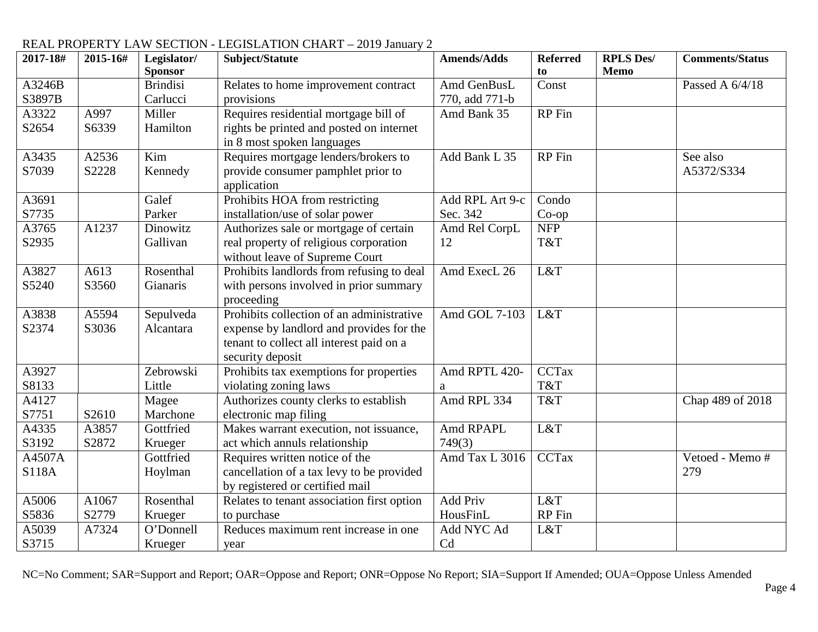#### **2017-18# 2015-16# Legislator/ Sponsor Subject/Statute Amends/Adds Referred to RPLS Des/ Memo Comments/Status** A3246B S3897B Brindisi Carlucci Relates to home improvement contract provisions Amd GenBusL 770, add 771-b Const Passed A 6/4/18 A3322 S2654 A997 S6339 Miller Hamilton Requires residential mortgage bill of rights be printed and posted on internet in 8 most spoken languages Amd Bank 35 RP Fin A3435 S7039 A2536 S2228 Kim Kennedy Requires mortgage lenders/brokers to provide consumer pamphlet prior to application Add Bank L  $35$  RP Fin See also A5372/S334 A3691 S7735 Galef Parker Prohibits HOA from restricting installation/use of solar power Add RPL Art 9-c Sec. 342 Condo Co-op A3765 S2935 A1237 Dinowitz Gallivan Authorizes sale or mortgage of certain real property of religious corporation without leave of Supreme Court Amd Rel CorpL 12 NFP T&T A3827 S5240 A613 S3560 Rosenthal Gianaris Prohibits landlords from refusing to deal with persons involved in prior summary proceeding Amd ExecL 26 L&T A3838 S2374 A5594 S3036 Sepulveda Alcantara Prohibits collection of an administrative expense by landlord and provides for the tenant to collect all interest paid on a security deposit Amd GOL 7-103 L&T A3927 S8133 Zebrowski Little Prohibits tax exemptions for properties violating zoning laws Amd RPTL 420a CCTax T&T A4127 S7751 S2610 Magee Marchone Authorizes county clerks to establish electronic map filing Amd RPL 334 T&T Chap 489 of 2018 A4335 S3192 A3857 S2872 **Gottfried** Krueger Makes warrant execution, not issuance, act which annuls relationship Amd RPAPL 749(3) L&T A4507A S118A Gottfried Hoylman Requires written notice of the cancellation of a tax levy to be provided by registered or certified mail Amd Tax L 3016 | CCTax | Vetoed - Memo # 279 A5006 S5836 A1067 S2779 Rosenthal Krueger Relates to tenant association first option to purchase Add Priv HousFinL L&T RP Fin A5039 S3715 A7324 O'Donnell Krueger Reduces maximum rent increase in one year Add NYC Ad Cd L&T

### REAL PROPERTY LAW SECTION - LEGISLATION CHART – 2019 January 2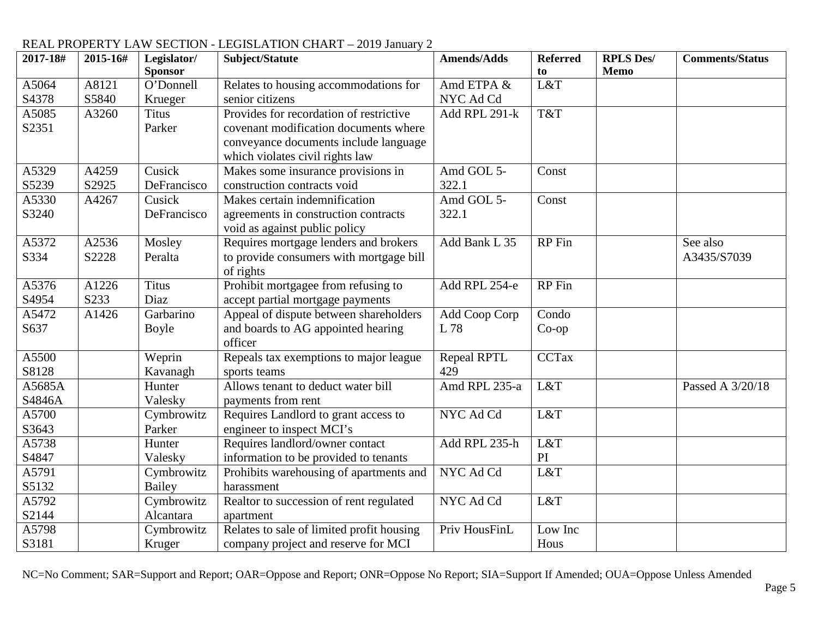| 2017-18#         | 2015-16# | Legislator/<br><b>Sponsor</b> | Subject/Statute                                                                                                                                              | <b>Amends/Adds</b>  | <b>Referred</b><br>to | <b>RPLS Des/</b><br>Memo | <b>Comments/Status</b> |
|------------------|----------|-------------------------------|--------------------------------------------------------------------------------------------------------------------------------------------------------------|---------------------|-----------------------|--------------------------|------------------------|
| A5064            | A8121    | O'Donnell                     | Relates to housing accommodations for                                                                                                                        | Amd ETPA &          | L&T                   |                          |                        |
| S4378            | S5840    | Krueger                       | senior citizens                                                                                                                                              | NYC Ad Cd           |                       |                          |                        |
| A5085<br>S2351   | A3260    | <b>Titus</b><br>Parker        | Provides for recordation of restrictive<br>covenant modification documents where<br>conveyance documents include language<br>which violates civil rights law | Add RPL 291-k       | T&T                   |                          |                        |
| A5329            | A4259    | Cusick                        | Makes some insurance provisions in                                                                                                                           | Amd GOL 5-          | Const                 |                          |                        |
| S5239            | S2925    | DeFrancisco                   | construction contracts void                                                                                                                                  | 322.1               |                       |                          |                        |
| A5330<br>S3240   | A4267    | Cusick<br>DeFrancisco         | Makes certain indemnification<br>agreements in construction contracts<br>void as against public policy                                                       | Amd GOL 5-<br>322.1 | Const                 |                          |                        |
| A5372            | A2536    | Mosley                        | Requires mortgage lenders and brokers                                                                                                                        | Add Bank L 35       | RP Fin                |                          | See also               |
| S334             | S2228    | Peralta                       | to provide consumers with mortgage bill<br>of rights                                                                                                         |                     |                       |                          | A3435/S7039            |
| A5376            | A1226    | <b>Titus</b>                  | Prohibit mortgagee from refusing to                                                                                                                          | Add RPL 254-e       | <b>RP</b> Fin         |                          |                        |
| S4954            | S233     | Diaz                          | accept partial mortgage payments                                                                                                                             |                     |                       |                          |                        |
| A5472            | A1426    | Garbarino                     | Appeal of dispute between shareholders                                                                                                                       | Add Coop Corp       | Condo                 |                          |                        |
| S637             |          | Boyle                         | and boards to AG appointed hearing<br>officer                                                                                                                | L 78                | $Co$ -op              |                          |                        |
| A5500            |          | Weprin                        | Repeals tax exemptions to major league                                                                                                                       | <b>Repeal RPTL</b>  | <b>CCTax</b>          |                          |                        |
| S8128            |          | Kavanagh                      | sports teams                                                                                                                                                 | 429                 |                       |                          |                        |
| A5685A<br>S4846A |          | Hunter<br>Valesky             | Allows tenant to deduct water bill<br>payments from rent                                                                                                     | Amd RPL 235-a       | L&T                   |                          | Passed A 3/20/18       |
| A5700            |          | Cymbrowitz                    | Requires Landlord to grant access to                                                                                                                         | NYC Ad Cd           | L&T                   |                          |                        |
| S3643            |          | Parker                        | engineer to inspect MCI's                                                                                                                                    |                     |                       |                          |                        |
| A5738            |          | Hunter                        | Requires landlord/owner contact                                                                                                                              | Add RPL 235-h       | L&T                   |                          |                        |
| S4847            |          | Valesky                       | information to be provided to tenants                                                                                                                        |                     | PI                    |                          |                        |
| A5791            |          | Cymbrowitz                    | Prohibits warehousing of apartments and                                                                                                                      | NYC Ad Cd           | L&T                   |                          |                        |
| S5132            |          | Bailey                        | harassment                                                                                                                                                   |                     |                       |                          |                        |
| A5792            |          | Cymbrowitz                    | Realtor to succession of rent regulated                                                                                                                      | NYC Ad Cd           | L&T                   |                          |                        |
| S2144            |          | Alcantara                     | apartment                                                                                                                                                    |                     |                       |                          |                        |
| A5798            |          | Cymbrowitz                    | Relates to sale of limited profit housing                                                                                                                    | Priv HousFinL       | Low Inc               |                          |                        |
| S3181            |          | Kruger                        | company project and reserve for MCI                                                                                                                          |                     | Hous                  |                          |                        |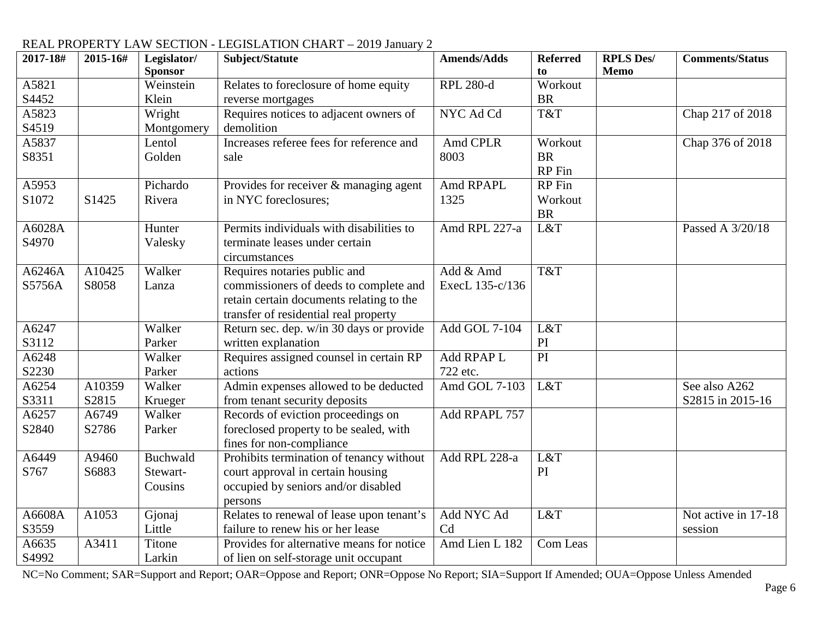| 2017-18# | 2015-16# | Legislator/        | Subject/Statute                           | <b>Amends/Adds</b> | <b>Referred</b> | <b>RPLS Des/</b> | <b>Comments/Status</b> |
|----------|----------|--------------------|-------------------------------------------|--------------------|-----------------|------------------|------------------------|
|          |          | <b>Sponsor</b>     |                                           |                    | to<br>Workout   | <b>Memo</b>      |                        |
| A5821    |          | Weinstein<br>Klein | Relates to foreclosure of home equity     | <b>RPL 280-d</b>   | <b>BR</b>       |                  |                        |
| S4452    |          |                    | reverse mortgages                         |                    |                 |                  |                        |
| A5823    |          | Wright             | Requires notices to adjacent owners of    | NYC Ad Cd          | T&T             |                  | Chap 217 of 2018       |
| S4519    |          | Montgomery         | demolition                                |                    |                 |                  |                        |
| A5837    |          | Lentol             | Increases referee fees for reference and  | Amd CPLR           | Workout         |                  | Chap 376 of 2018       |
| S8351    |          | Golden             | sale                                      | 8003               | <b>BR</b>       |                  |                        |
|          |          |                    |                                           |                    | <b>RP</b> Fin   |                  |                        |
| A5953    |          | Pichardo           | Provides for receiver & managing agent    | Amd RPAPL          | RP Fin          |                  |                        |
| S1072    | S1425    | Rivera             | in NYC foreclosures;                      | 1325               | Workout         |                  |                        |
|          |          |                    |                                           |                    | <b>BR</b>       |                  |                        |
| A6028A   |          | Hunter             | Permits individuals with disabilities to  | Amd RPL 227-a      | L&T             |                  | Passed A 3/20/18       |
| S4970    |          | Valesky            | terminate leases under certain            |                    |                 |                  |                        |
|          |          |                    | circumstances                             |                    |                 |                  |                        |
| A6246A   | A10425   | Walker             | Requires notaries public and              | Add & Amd          | T&T             |                  |                        |
| S5756A   | S8058    | Lanza              | commissioners of deeds to complete and    | ExecL 135-c/136    |                 |                  |                        |
|          |          |                    | retain certain documents relating to the  |                    |                 |                  |                        |
|          |          |                    | transfer of residential real property     |                    |                 |                  |                        |
| A6247    |          | Walker             | Return sec. dep. w/in 30 days or provide  | Add GOL 7-104      | L&T             |                  |                        |
| S3112    |          | Parker             | written explanation                       |                    | PI              |                  |                        |
| A6248    |          | Walker             | Requires assigned counsel in certain RP   | Add RPAP L         | PI              |                  |                        |
| S2230    |          | Parker             | actions                                   | 722 etc.           |                 |                  |                        |
| A6254    | A10359   | Walker             | Admin expenses allowed to be deducted     | Amd GOL 7-103      | L&T             |                  | See also A262          |
| S3311    | S2815    | Krueger            | from tenant security deposits             |                    |                 |                  | S2815 in 2015-16       |
| A6257    | A6749    | Walker             | Records of eviction proceedings on        | Add RPAPL 757      |                 |                  |                        |
| S2840    | S2786    | Parker             | foreclosed property to be sealed, with    |                    |                 |                  |                        |
|          |          |                    | fines for non-compliance                  |                    |                 |                  |                        |
| A6449    | A9460    | Buchwald           | Prohibits termination of tenancy without  | Add RPL 228-a      | L&T             |                  |                        |
| S767     | S6883    | Stewart-           | court approval in certain housing         |                    | PI              |                  |                        |
|          |          | Cousins            | occupied by seniors and/or disabled       |                    |                 |                  |                        |
|          |          |                    | persons                                   |                    |                 |                  |                        |
| A6608A   | A1053    | Gjonaj             | Relates to renewal of lease upon tenant's | Add NYC Ad         | L&T             |                  | Not active in 17-18    |
| S3559    |          | Little             | failure to renew his or her lease         | Cd                 |                 |                  | session                |
| A6635    | A3411    | Titone             | Provides for alternative means for notice | Amd Lien L 182     | Com Leas        |                  |                        |
| S4992    |          | Larkin             | of lien on self-storage unit occupant     |                    |                 |                  |                        |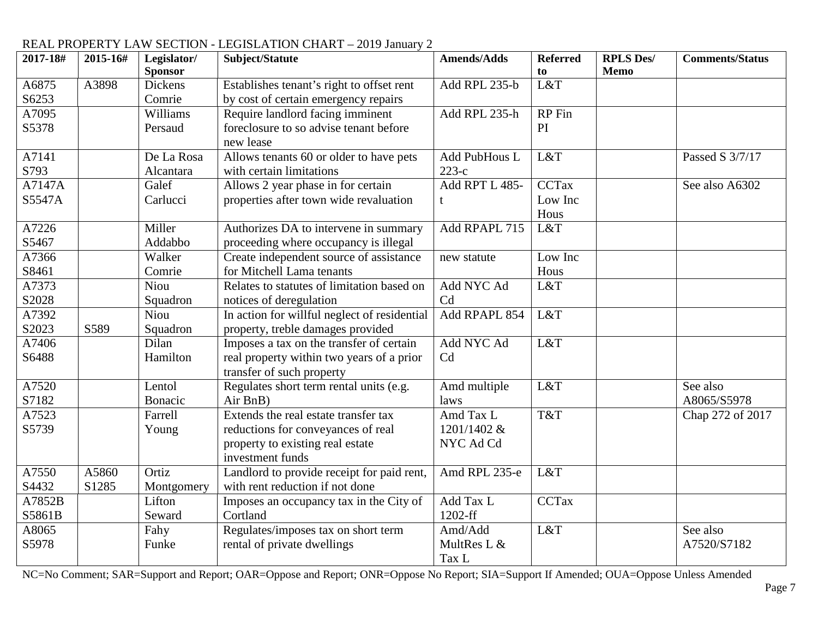#### **2017-18# 2015-16# Legislator/ Sponsor Subject/Statute Amends/Adds Referred to RPLS Des/ Memo Comments/Status** A6875 S6253 A3898 Dickens Comrie Establishes tenant's right to offset rent by cost of certain emergency repairs Add RPL 235-b  $\vert$  L&T A7095 S5378 Williams Persaud Require landlord facing imminent foreclosure to so advise tenant before new lease Add RPL  $235-h$  RP Fin PI A7141 S793 De La Rosa Alcantara Allows tenants 60 or older to have pets with certain limitations Add PubHous L 223-c L&T  $\qquad$  Passed S 3/7/17 A7147A S5547A Galef Carlucci Allows 2 year phase in for certain properties after town wide revaluation Add RPT L 485 t CCTax Low Inc Hous See also A6302 A7226 S5467 Miller Addabbo Authorizes DA to intervene in summary proceeding where occupancy is illegal Add RPAPL 715 L&T A7366 S8461 Walker Comrie Create independent source of assistance for Mitchell Lama tenants new statute | Low Inc Hous A7373 S2028 Niou **Squadron** Relates to statutes of limitation based on notices of deregulation Add NYC Ad Cd L&T A7392 S2023 S589 Niou Squadron In action for willful neglect of residential property, treble damages provided Add RPAPL 854 L&T A7406 S6488 Dilan Hamilton Imposes a tax on the transfer of certain real property within two years of a prior transfer of such property Add NYC Ad Cd L&T A7520 S7182 Lentol Bonacic Regulates short term rental units (e.g. Air BnB) Amd multiple laws  $L&T$  See also A8065/S5978 A7523 S5739 Farrell Young Extends the real estate transfer tax reductions for conveyances of real property to existing real estate investment funds Amd Tax L 1201/1402 & NYC Ad Cd T&T Chap 272 of 2017 A7550 S4432 A5860 S1285 Ortiz Montgomery Landlord to provide receipt for paid rent, with rent reduction if not done Amd RPL 235-e L&T A7852B S5861B Lifton Seward Imposes an occupancy tax in the City of Cortland Add Tax L 1202-ff **CCTax** A8065 S5978 Fahy Funke Regulates/imposes tax on short term rental of private dwellings Amd/Add MultRes L &  $L&T$  See also A7520/S7182

#### REAL PROPERTY LAW SECTION - LEGISLATION CHART – 2019 January 2

NC=No Comment; SAR=Support and Report; OAR=Oppose and Report; ONR=Oppose No Report; SIA=Support If Amended; OUA=Oppose Unless Amended

Tax L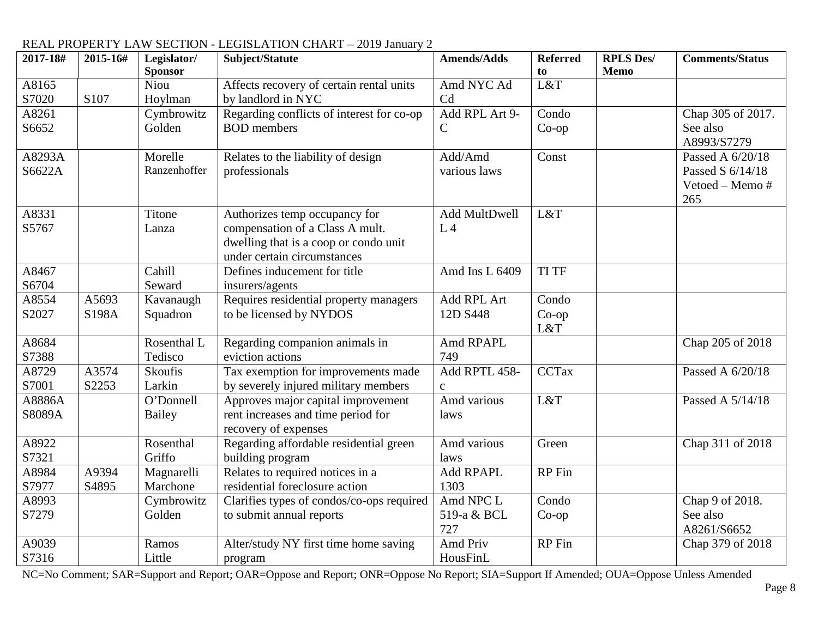| 2017-18# | 2015-16# | Legislator/<br><b>Sponsor</b> | Subject/Statute                                                  | <b>Amends/Adds</b> | <b>Referred</b><br>to | <b>RPLS Des/</b><br><b>Memo</b> | <b>Comments/Status</b> |
|----------|----------|-------------------------------|------------------------------------------------------------------|--------------------|-----------------------|---------------------------------|------------------------|
| A8165    |          | Niou                          | Affects recovery of certain rental units                         | Amd NYC Ad         | L&T                   |                                 |                        |
| S7020    | S107     | Hoylman                       | by landlord in NYC                                               | Cd                 |                       |                                 |                        |
| A8261    |          | Cymbrowitz                    | Regarding conflicts of interest for co-op                        | Add RPL Art 9-     | Condo                 |                                 | Chap 305 of 2017.      |
| S6652    |          | Golden                        | <b>BOD</b> members                                               | $\mathsf{C}$       | $Co$ -op              |                                 | See also               |
|          |          |                               |                                                                  |                    |                       |                                 | A8993/S7279            |
| A8293A   |          | Morelle                       | Relates to the liability of design                               | Add/Amd            | Const                 |                                 | Passed A 6/20/18       |
| S6622A   |          | Ranzenhoffer                  | professionals                                                    | various laws       |                       |                                 | Passed S 6/14/18       |
|          |          |                               |                                                                  |                    |                       |                                 | Vetoed - Memo #        |
| A8331    |          | Titone                        |                                                                  | Add MultDwell      | L&T                   |                                 | 265                    |
| S5767    |          | Lanza                         | Authorizes temp occupancy for<br>compensation of a Class A mult. | L <sub>4</sub>     |                       |                                 |                        |
|          |          |                               | dwelling that is a coop or condo unit                            |                    |                       |                                 |                        |
|          |          |                               | under certain circumstances                                      |                    |                       |                                 |                        |
| A8467    |          | Cahill                        | Defines inducement for title                                     | Amd Ins L 6409     | <b>TI TF</b>          |                                 |                        |
| S6704    |          | Seward                        | insurers/agents                                                  |                    |                       |                                 |                        |
| A8554    | A5693    | Kavanaugh                     | Requires residential property managers                           | Add RPL Art        | Condo                 |                                 |                        |
| S2027    | S198A    | Squadron                      | to be licensed by NYDOS                                          | 12D S448           | $Co$ -op              |                                 |                        |
|          |          |                               |                                                                  |                    | L&T                   |                                 |                        |
| A8684    |          | Rosenthal L                   | Regarding companion animals in                                   | Amd RPAPL          |                       |                                 | Chap 205 of 2018       |
| S7388    |          | Tedisco                       | eviction actions                                                 | 749                |                       |                                 |                        |
| A8729    | A3574    | Skoufis                       | Tax exemption for improvements made                              | Add RPTL 458-      | <b>CCTax</b>          |                                 | Passed A 6/20/18       |
| S7001    | S2253    | Larkin                        | by severely injured military members                             | $\mathbf{C}$       |                       |                                 |                        |
| A8886A   |          | O'Donnell                     | Approves major capital improvement                               | Amd various        | L&T                   |                                 | Passed A 5/14/18       |
| S8089A   |          | Bailey                        | rent increases and time period for<br>recovery of expenses       | laws               |                       |                                 |                        |
| A8922    |          | Rosenthal                     | Regarding affordable residential green                           | Amd various        | Green                 |                                 | Chap 311 of 2018       |
| S7321    |          | Griffo                        | building program                                                 | laws               |                       |                                 |                        |
| A8984    | A9394    | Magnarelli                    | Relates to required notices in a                                 | <b>Add RPAPL</b>   | <b>RP</b> Fin         |                                 |                        |
| S7977    | S4895    | Marchone                      | residential foreclosure action                                   | 1303               |                       |                                 |                        |
| A8993    |          | Cymbrowitz                    | Clarifies types of condos/co-ops required                        | Amd NPC L          | Condo                 |                                 | Chap 9 of 2018.        |
| S7279    |          | Golden                        | to submit annual reports                                         | 519-a & BCL        | $Co$ -op              |                                 | See also               |
|          |          |                               |                                                                  | 727                |                       |                                 | A8261/S6652            |
| A9039    |          | Ramos                         | Alter/study NY first time home saving                            | Amd Priv           | RP Fin                |                                 | Chap 379 of 2018       |
| S7316    |          | Little                        | program                                                          | HousFinL           |                       |                                 |                        |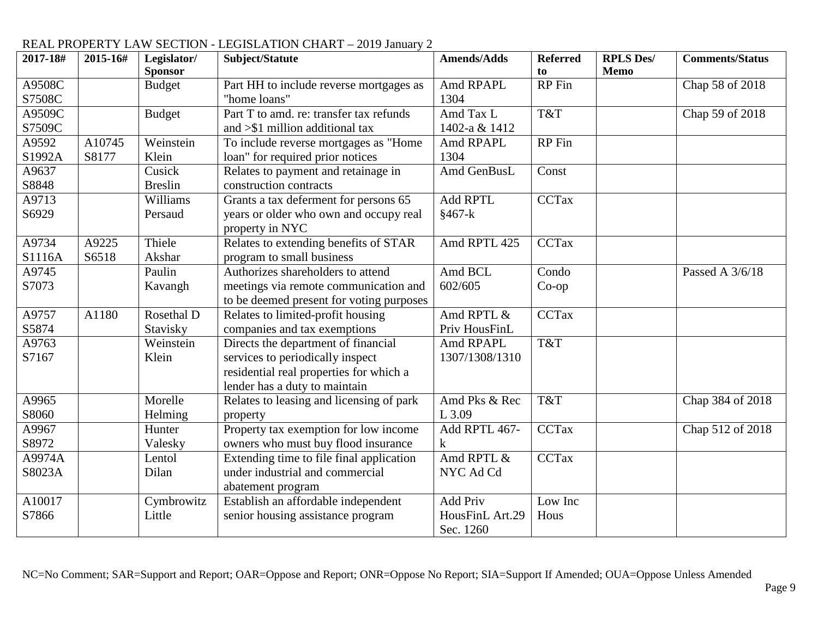| 2017-18#         | 2015-16#        | Legislator/<br><b>Sponsor</b> | Subject/Statute                                                                                                                                     | <b>Amends/Adds</b>                              | <b>Referred</b><br>to | <b>RPLS Des/</b><br><b>Memo</b> | <b>Comments/Status</b> |
|------------------|-----------------|-------------------------------|-----------------------------------------------------------------------------------------------------------------------------------------------------|-------------------------------------------------|-----------------------|---------------------------------|------------------------|
| A9508C<br>S7508C |                 | <b>Budget</b>                 | Part HH to include reverse mortgages as<br>"home loans"                                                                                             | Amd RPAPL<br>1304                               | RP Fin                |                                 | Chap 58 of 2018        |
| A9509C<br>S7509C |                 | <b>Budget</b>                 | Part T to amd. re: transfer tax refunds<br>and $>\$ 1 million additional tax                                                                        | Amd Tax L<br>1402-a & 1412                      | T&T                   |                                 | Chap 59 of 2018        |
| A9592<br>S1992A  | A10745<br>S8177 | Weinstein<br>Klein            | To include reverse mortgages as "Home<br>loan" for required prior notices                                                                           | Amd RPAPL<br>1304                               | RP Fin                |                                 |                        |
| A9637<br>S8848   |                 | Cusick<br><b>Breslin</b>      | Relates to payment and retainage in<br>construction contracts                                                                                       | Amd GenBusL                                     | Const                 |                                 |                        |
| A9713<br>S6929   |                 | Williams<br>Persaud           | Grants a tax deferment for persons 65<br>years or older who own and occupy real<br>property in NYC                                                  | <b>Add RPTL</b><br>$§467-k$                     | <b>CCTax</b>          |                                 |                        |
| A9734<br>S1116A  | A9225<br>S6518  | Thiele<br>Akshar              | Relates to extending benefits of STAR<br>program to small business                                                                                  | Amd RPTL 425                                    | <b>CCTax</b>          |                                 |                        |
| A9745<br>S7073   |                 | Paulin<br>Kavangh             | Authorizes shareholders to attend<br>meetings via remote communication and<br>to be deemed present for voting purposes                              | Amd BCL<br>602/605                              | Condo<br>$Co$ -op     |                                 | Passed A 3/6/18        |
| A9757<br>S5874   | A1180           | Rosethal D<br>Stavisky        | Relates to limited-profit housing<br>companies and tax exemptions                                                                                   | Amd RPTL &<br>Priv HousFinL                     | <b>CCTax</b>          |                                 |                        |
| A9763<br>S7167   |                 | Weinstein<br>Klein            | Directs the department of financial<br>services to periodically inspect<br>residential real properties for which a<br>lender has a duty to maintain | Amd RPAPL<br>1307/1308/1310                     | T&T                   |                                 |                        |
| A9965<br>S8060   |                 | Morelle<br>Helming            | Relates to leasing and licensing of park<br>property                                                                                                | Amd Pks & Rec<br>L 3.09                         | T&T                   |                                 | Chap 384 of 2018       |
| A9967<br>S8972   |                 | Hunter<br>Valesky             | Property tax exemption for low income<br>owners who must buy flood insurance                                                                        | Add RPTL 467-<br>$\bf k$                        | <b>CCTax</b>          |                                 | Chap 512 of 2018       |
| A9974A<br>S8023A |                 | Lentol<br>Dilan               | Extending time to file final application<br>under industrial and commercial<br>abatement program                                                    | Amd RPTL &<br>NYC Ad Cd                         | <b>CCTax</b>          |                                 |                        |
| A10017<br>S7866  |                 | Cymbrowitz<br>Little          | Establish an affordable independent<br>senior housing assistance program                                                                            | <b>Add Priv</b><br>HousFinL Art.29<br>Sec. 1260 | Low Inc<br>Hous       |                                 |                        |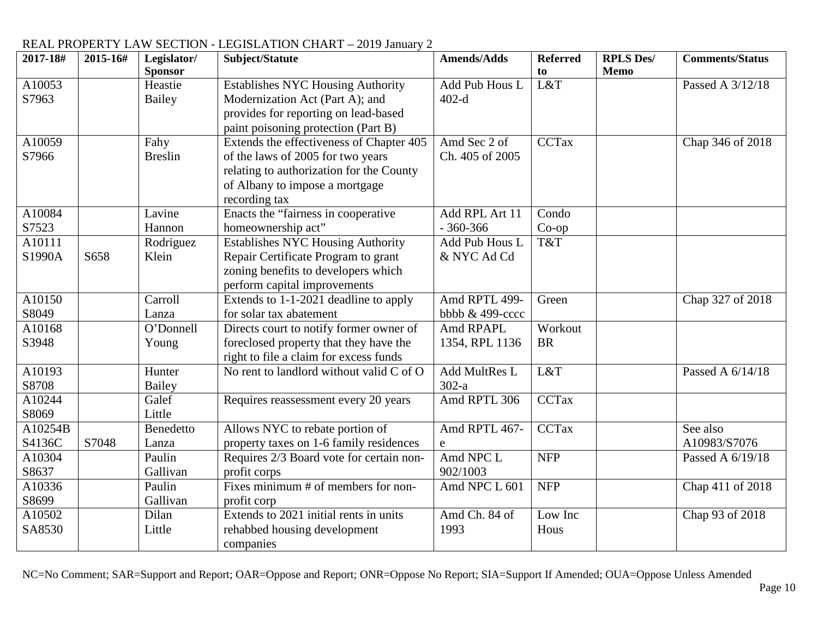#### **2017-18# 2015-16# Legislator/ Sponsor Subject/Statute Amends/Adds Referred to RPLS Des/ Memo Comments/Status** A10053 S7963 Heastie Bailey Establishes NYC Housing Authority Modernization Act (Part A); and provides for reporting on lead-based paint poisoning protection (Part B) Add Pub Hous L 402-d L&T  $\qquad$  Passed A 3/12/18 A10059 S7966 Fahy Breslin Extends the effectiveness of Chapter 405 of the laws of 2005 for two years relating to authorization for the County of Albany to impose a mortgage recording tax Amd Sec 2 of Ch. 405 of 2005 CCTax Chap 346 of 2018 A10084 S7523 Lavine Hannon Enacts the "fairness in cooperative homeownership act" Add RPL Art 11 - 360-366 Condo Co-op A10111  $S1990A$   $S658$ Rodriguez Klein Establishes NYC Housing Authority Repair Certificate Program to grant zoning benefits to developers which perform capital improvements Add Pub Hous L & NYC Ad Cd T&T A10150 S8049 Carroll Lanza Extends to 1-1-2021 deadline to apply for solar tax abatement Amd RPTL 499bbbb & 499-cccc Green Chap 327 of 2018 A10168 S3948 O'Donnell Young Directs court to notify former owner of foreclosed property that they have the right to file a claim for excess funds Amd RPAPL 1354, RPL 1136 **Workout** BR A10193 S8708 Hunter Bailey No rent to landlord without valid  $C$  of  $O$  Add MultRes L  $\frac{302-a}{\text{Amd RPTL}306}$  $L&T$  Passed A  $6/14/18$ A10244 S8069 Galef Little Requires reassessment every 20 years Amd RPTL 306 CCTax A10254B S4136C | S7048 **Benedetto** Lanza Allows NYC to rebate portion of property taxes on 1-6 family residences Amd RPTL 467 e CCTax See also A10983/S7076 A10304 S8637 Paulin Gallivan Requires 2/3 Board vote for certain nonprofit corps Amd NPC L 902/1003 NFP Passed A 6/19/18 A10336 S8699 Paulin Gallivan Fixes minimum # of members for nonprofit corp Amd NPC L 601 NFP Chap 411 of 2018 A10502 SA8530 Dilan Little Extends to 2021 initial rents in units rehabbed housing development companies Amd Ch. 84 of 1993 Low Inc Hous Chap 93 of 2018

## REAL PROPERTY LAW SECTION - LEGISLATION CHART – 2019 January 2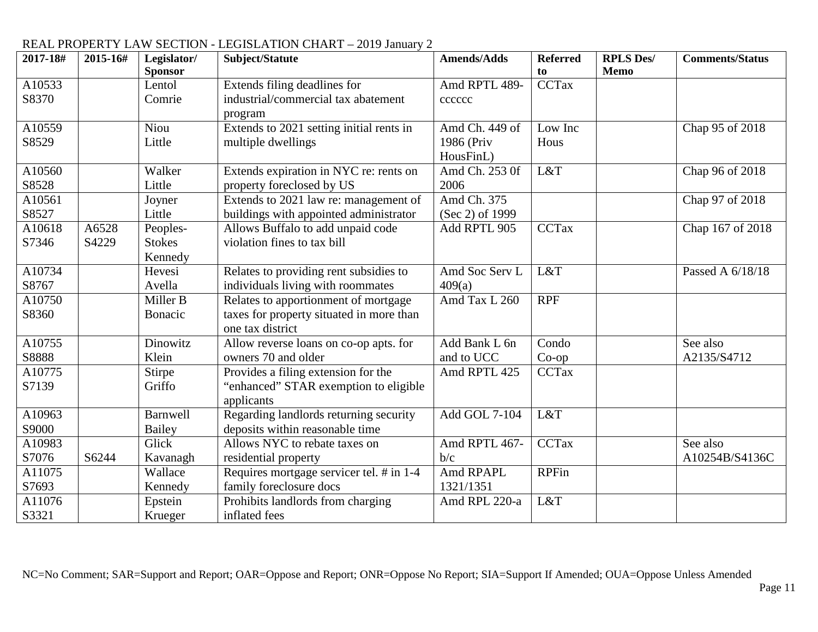| 2017-18# | 2015-16# | Legislator/<br><b>Sponsor</b> | Subject/Statute                          | <b>Amends/Adds</b> | <b>Referred</b><br>to | <b>RPLS Des/</b><br><b>Memo</b> | <b>Comments/Status</b> |
|----------|----------|-------------------------------|------------------------------------------|--------------------|-----------------------|---------------------------------|------------------------|
| A10533   |          | Lentol                        | Extends filing deadlines for             | Amd RPTL 489-      | CCTax                 |                                 |                        |
| S8370    |          | Comrie                        | industrial/commercial tax abatement      | cccccc             |                       |                                 |                        |
|          |          |                               | program                                  |                    |                       |                                 |                        |
| A10559   |          | Niou                          | Extends to 2021 setting initial rents in | Amd Ch. 449 of     | Low Inc               |                                 | Chap 95 of 2018        |
| S8529    |          | Little                        | multiple dwellings                       | 1986 (Priv         | Hous                  |                                 |                        |
|          |          |                               |                                          | HousFinL)          |                       |                                 |                        |
| A10560   |          | Walker                        | Extends expiration in NYC re: rents on   | Amd Ch. 253 0f     | L&T                   |                                 | Chap 96 of 2018        |
| S8528    |          | Little                        | property foreclosed by US                | 2006               |                       |                                 |                        |
| A10561   |          | Joyner                        | Extends to 2021 law re: management of    | Amd Ch. 375        |                       |                                 | Chap 97 of 2018        |
| S8527    |          | Little                        | buildings with appointed administrator   | (Sec 2) of 1999    |                       |                                 |                        |
| A10618   | A6528    | Peoples-                      | Allows Buffalo to add unpaid code        | Add RPTL 905       | <b>CCTax</b>          |                                 | Chap 167 of 2018       |
| S7346    | S4229    | <b>Stokes</b>                 | violation fines to tax bill              |                    |                       |                                 |                        |
|          |          | Kennedy                       |                                          |                    |                       |                                 |                        |
| A10734   |          | Hevesi                        | Relates to providing rent subsidies to   | Amd Soc Serv L     | L&T                   |                                 | Passed A 6/18/18       |
| S8767    |          | Avella                        | individuals living with roommates        | 409(a)             |                       |                                 |                        |
| A10750   |          | Miller B                      | Relates to apportionment of mortgage     | Amd Tax L 260      | <b>RPF</b>            |                                 |                        |
| S8360    |          | Bonacic                       | taxes for property situated in more than |                    |                       |                                 |                        |
|          |          |                               | one tax district                         |                    |                       |                                 |                        |
| A10755   |          | Dinowitz                      | Allow reverse loans on co-op apts. for   | Add Bank L 6n      | Condo                 |                                 | See also               |
| S8888    |          | Klein                         | owners 70 and older                      | and to UCC         | $Co$ -op              |                                 | A2135/S4712            |
| A10775   |          | Stirpe                        | Provides a filing extension for the      | Amd RPTL 425       | <b>CCTax</b>          |                                 |                        |
| S7139    |          | Griffo                        | "enhanced" STAR exemption to eligible    |                    |                       |                                 |                        |
|          |          |                               | applicants                               |                    |                       |                                 |                        |
| A10963   |          | <b>Barnwell</b>               | Regarding landlords returning security   | Add GOL 7-104      | L&T                   |                                 |                        |
| S9000    |          | <b>Bailey</b>                 | deposits within reasonable time          |                    |                       |                                 |                        |
| A10983   |          | Glick                         | Allows NYC to rebate taxes on            | Amd RPTL 467-      | <b>CCTax</b>          |                                 | See also               |
| S7076    | S6244    | Kavanagh                      | residential property                     | b/c                |                       |                                 | A10254B/S4136C         |
| A11075   |          | Wallace                       | Requires mortgage servicer tel. # in 1-4 | Amd RPAPL          | <b>RPFin</b>          |                                 |                        |
| S7693    |          | Kennedy                       | family foreclosure docs                  | 1321/1351          |                       |                                 |                        |
| A11076   |          | Epstein                       | Prohibits landlords from charging        | Amd RPL 220-a      | L&T                   |                                 |                        |
| S3321    |          | Krueger                       | inflated fees                            |                    |                       |                                 |                        |